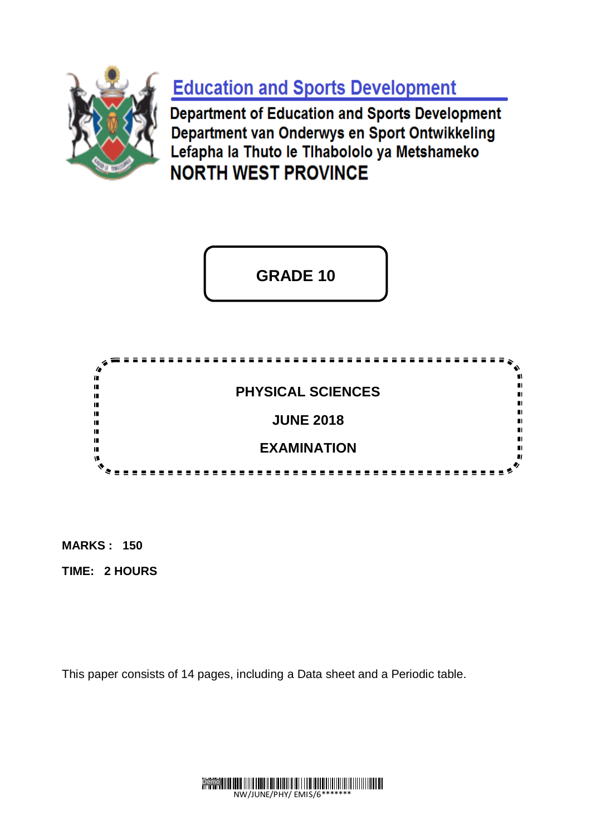

**Education and Sports Development** 

**Department of Education and Sports Development** Department van Onderwys en Sport Ontwikkeling Lefapha la Thuto le Tihabololo ya Metshameko **NORTH WEST PROVINCE** 

**GRADE 10**



**MARKS : 150** 

**TIME: 2 HOURS**

This paper consists of 14 pages, including a Data sheet and a Periodic table.

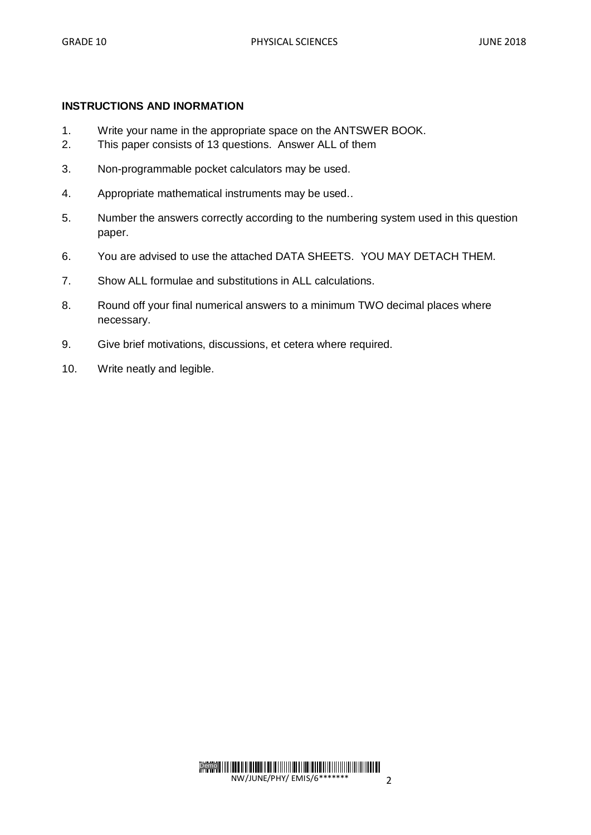#### **INSTRUCTIONS AND INORMATION**

- 1. Write your name in the appropriate space on the ANTSWER BOOK.
- 2. This paper consists of 13 questions. Answer ALL of them
- 3. Non-programmable pocket calculators may be used.
- 4. Appropriate mathematical instruments may be used..
- 5. Number the answers correctly according to the numbering system used in this question paper.
- 6. You are advised to use the attached DATA SHEETS. YOU MAY DETACH THEM.
- 7. Show ALL formulae and substitutions in ALL calculations.
- 8. Round off your final numerical answers to a minimum TWO decimal places where necessary.
- 9. Give brief motivations, discussions, et cetera where required.
- 10. Write neatly and legible.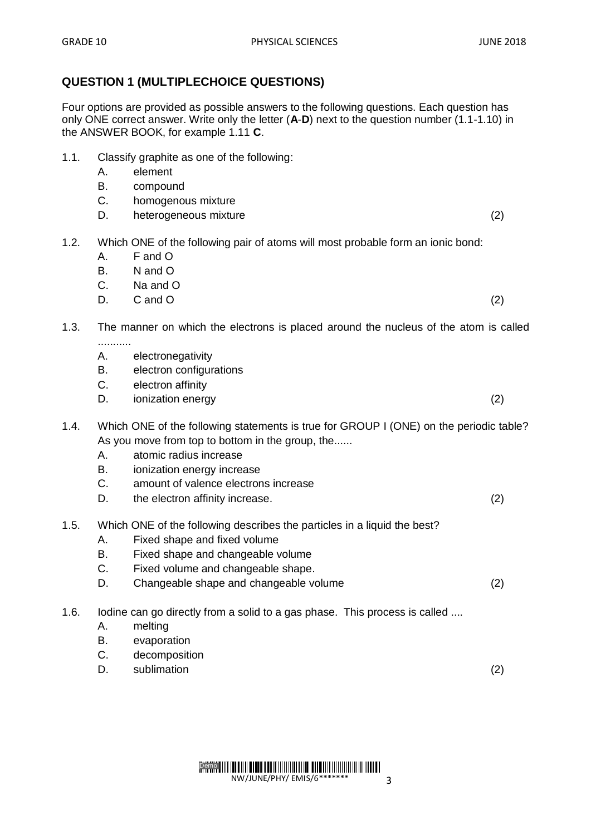Four options are provided as possible answers to the following questions. Each question has only ONE correct answer. Write only the letter (**A**-**D**) next to the question number (1.1-1.10) in the ANSWER BOOK, for example 1.11 **C**.

- 1.1. Classify graphite as one of the following:
	- A. element
	- B. compound
	- C. homogenous mixture
	- D. heterogeneous mixture (2)
- 1.2. Which ONE of the following pair of atoms will most probable form an ionic bond:
	- A. F and O
	- B. N and O
	- C. Na and O
	- $D.$  C and  $O$  (2)

# 1.3. The manner on which the electrons is placed around the nucleus of the atom is called ...........

- A. electronegativity
- B. electron configurations
- C. electron affinity
- D. ionization energy (2)

# 1.4. Which ONE of the following statements is true for GROUP I (ONE) on the periodic table? As you move from top to bottom in the group, the......

- A. atomic radius increase
- B. ionization energy increase
- C. amount of valence electrons increase
- D. the electron affinity increase. (2)
- 1.5. Which ONE of the following describes the particles in a liquid the best?
	- A. Fixed shape and fixed volume
	- B. Fixed shape and changeable volume
	- C. Fixed volume and changeable shape.
	- D. Changeable shape and changeable volume (2)
- 1.6. Iodine can go directly from a solid to a gas phase. This process is called ....
	- A. melting
	- B. evaporation
	- C. decomposition
	- D. sublimation (2)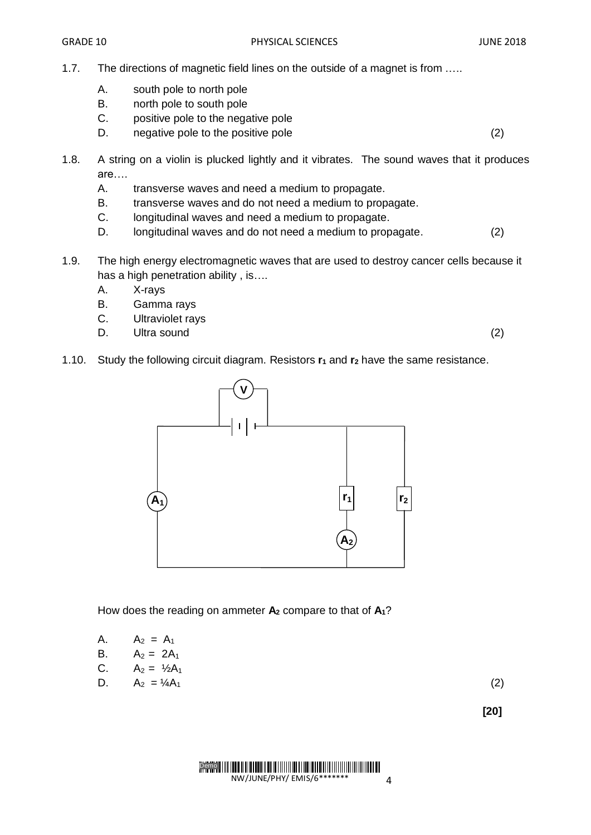- 1.7. The directions of magnetic field lines on the outside of a magnet is from .….
	- A. south pole to north pole
	- B. north pole to south pole
	- C. positive pole to the negative pole
	- D. negative pole to the positive pole to the contract the contract of the contract of the contract of the contract of the contract of the contract of the contract of the contract of the contract of the contract of the cont
- 1.8. A string on a violin is plucked lightly and it vibrates. The sound waves that it produces are….
	- A. transverse waves and need a medium to propagate.
	- B. transverse waves and do not need a medium to propagate.
	- C. longitudinal waves and need a medium to propagate.
	- D. longitudinal waves and do not need a medium to propagate. (2)
- 1.9. The high energy electromagnetic waves that are used to destroy cancer cells because it has a high penetration ability, is....
	- A. X-rays
	- B. Gamma rays
	- C. Ultraviolet rays
	- D. Ultra sound (2)

1.10. Study the following circuit diagram. Resistors **r<sup>1</sup>** and **r<sup>2</sup>** have the same resistance.



How does the reading on ammeter **A<sup>2</sup>** compare to that of **A1**?

A. 
$$
A_2 = A_1
$$
  
B.  $A_2 = 2A_1$ 

C. 
$$
A_2 = \frac{1}{2}A_1
$$

D. 
$$
A_2 = \frac{1}{4}A_1
$$
 (2)

**[20]**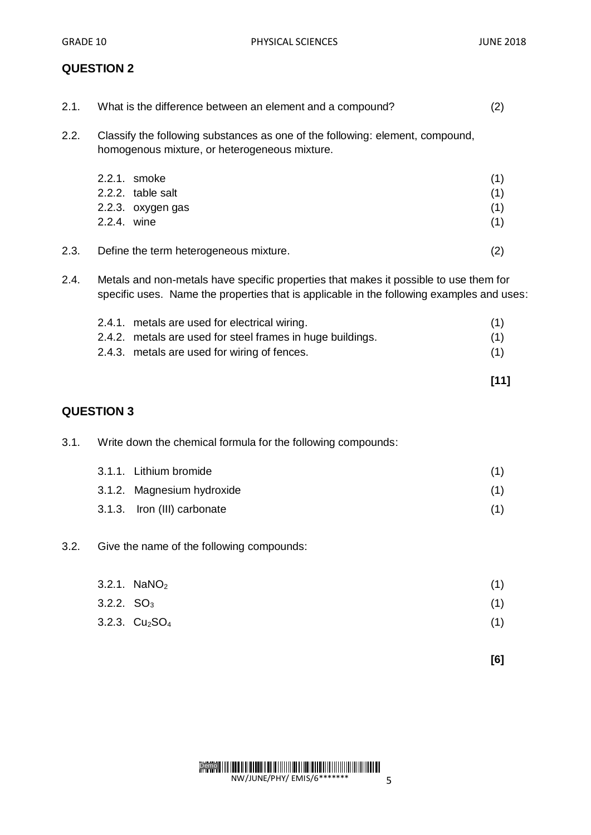| 2.1. | What is the difference between an element and a compound?                                                                                                                          | (2)                      |
|------|------------------------------------------------------------------------------------------------------------------------------------------------------------------------------------|--------------------------|
| 2.2. | Classify the following substances as one of the following: element, compound,<br>homogenous mixture, or heterogeneous mixture.                                                     |                          |
|      | 2.2.1. smoke<br>2.2.2. table salt<br>2.2.3. oxygen gas<br>2.2.4. wine                                                                                                              | (1)<br>(1)<br>(1)<br>(1) |
| 2.3. | Define the term heterogeneous mixture.                                                                                                                                             | (2)                      |
| 2.4. | Metals and non-metals have specific properties that makes it possible to use them for<br>specific uses. Name the properties that is applicable in the following examples and uses: |                          |
|      | 2.4.1. metals are used for electrical wiring.<br>2.4.2. metals are used for steel frames in huge buildings.<br>2.4.3. metals are used for wiring of fences.                        | (1)<br>(1)<br>(1)        |
|      |                                                                                                                                                                                    | $[11]$                   |
|      | <b>QUESTION 3</b>                                                                                                                                                                  |                          |
| 3.1. | Write down the chemical formula for the following compounds:                                                                                                                       |                          |
|      | 3.1.1. Lithium bromide<br>3.1.2. Magnesium hydroxide<br>Iron (III) carbonate<br>3.1.3.                                                                                             | (1)<br>(1)<br>(1)        |
| 3.2. | Give the name of the following compounds:                                                                                                                                          |                          |
|      | 3.2.1. $NANO2$<br>3.2.2. $SO_3$                                                                                                                                                    | (1)<br>(1)               |

 $3.2.3. \text{Cu}_2\text{SO}_4$  (1)

**[6]**

Demo NW/JUNE/PHY/ EMIS/6\*\*\*\*\*\*\* 5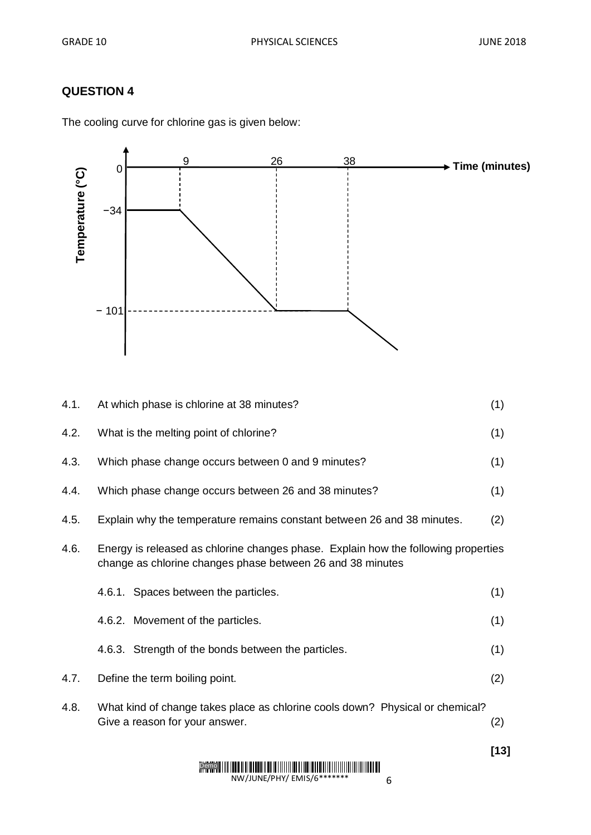| Temperature (°C) | 0<br>$-34$ |                                                                                                                 | 26 | 38 | → Time (minutes)                                                                   |
|------------------|------------|-----------------------------------------------------------------------------------------------------------------|----|----|------------------------------------------------------------------------------------|
|                  | $-101$     |                                                                                                                 |    |    |                                                                                    |
| 4.1.             |            | At which phase is chlorine at 38 minutes?                                                                       |    |    | (1)                                                                                |
| 4.2.             |            | What is the melting point of chlorine?                                                                          |    |    | (1)                                                                                |
| 4.3.             |            | Which phase change occurs between 0 and 9 minutes?                                                              |    |    | (1)                                                                                |
| 4.4.             |            | Which phase change occurs between 26 and 38 minutes?                                                            |    |    | (1)                                                                                |
| 4.5.             |            | Explain why the temperature remains constant between 26 and 38 minutes.                                         |    |    | (2)                                                                                |
| 4.6.             |            | change as chlorine changes phase between 26 and 38 minutes                                                      |    |    | Energy is released as chlorine changes phase. Explain how the following properties |
|                  |            | 4.6.1. Spaces between the particles.                                                                            |    |    | (1)                                                                                |
|                  |            | 4.6.2. Movement of the particles.                                                                               |    |    | (1)                                                                                |
|                  |            | 4.6.3. Strength of the bonds between the particles.                                                             |    |    | (1)                                                                                |
| 4.7.             |            | Define the term boiling point.                                                                                  |    |    | (2)                                                                                |
| 4.8.             |            | What kind of change takes place as chlorine cools down? Physical or chemical?<br>Give a reason for your answer. |    |    | (2)                                                                                |
|                  |            |                                                                                                                 |    |    |                                                                                    |

The cooling curve for chlorine gas is given below:

**[13]**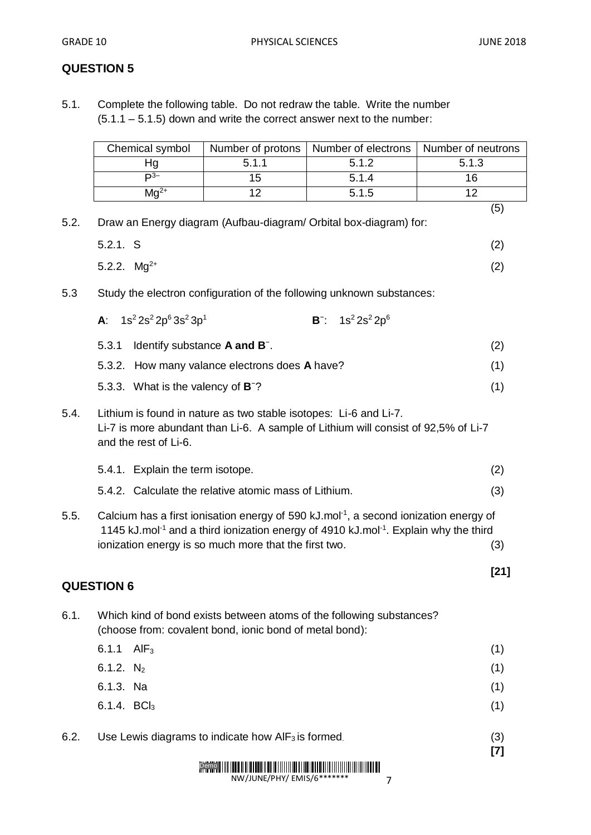5.1. Complete the following table. Do not redraw the table. Write the number  $(5.1.1 - 5.1.5)$  down and write the correct answer next to the number:

|                                                                                                                                                                                                                           | Chemical symbol                                                                                                                                                                  | Number of protons | Number of electrons                                                   | Number of neutrons |  |
|---------------------------------------------------------------------------------------------------------------------------------------------------------------------------------------------------------------------------|----------------------------------------------------------------------------------------------------------------------------------------------------------------------------------|-------------------|-----------------------------------------------------------------------|--------------------|--|
|                                                                                                                                                                                                                           | Hg                                                                                                                                                                               | 5.1.1             | 5.1.2                                                                 | 5.1.3              |  |
|                                                                                                                                                                                                                           | $\mathsf{P}^{3-}$                                                                                                                                                                | 15                | 5.1.4                                                                 | 16                 |  |
|                                                                                                                                                                                                                           | $Mg^{2+}$                                                                                                                                                                        | 12                | 5.1.5                                                                 | 12                 |  |
| 5.2.                                                                                                                                                                                                                      |                                                                                                                                                                                  |                   | Draw an Energy diagram (Aufbau-diagram/ Orbital box-diagram) for:     | (5)                |  |
|                                                                                                                                                                                                                           | 5.2.1. S                                                                                                                                                                         |                   |                                                                       | (2)                |  |
|                                                                                                                                                                                                                           | 5.2.2. $Mg^{2+}$                                                                                                                                                                 |                   |                                                                       | (2)                |  |
| 5.3                                                                                                                                                                                                                       |                                                                                                                                                                                  |                   | Study the electron configuration of the following unknown substances: |                    |  |
|                                                                                                                                                                                                                           | A: $1s^2 2s^2 2p^6 3s^2 3p^1$                                                                                                                                                    |                   | $B^{-}$ : 1s <sup>2</sup> 2s <sup>2</sup> 2p <sup>6</sup>             |                    |  |
|                                                                                                                                                                                                                           | 5.3.1<br>Identify substance A and B <sup>-</sup> .                                                                                                                               |                   |                                                                       | (2)                |  |
|                                                                                                                                                                                                                           | 5.3.2. How many valance electrons does A have?                                                                                                                                   |                   |                                                                       | (1)                |  |
|                                                                                                                                                                                                                           | 5.3.3. What is the valency of <b>B</b> <sup>-</sup> ?                                                                                                                            |                   |                                                                       | (1)                |  |
| 5.4.                                                                                                                                                                                                                      | Lithium is found in nature as two stable isotopes: Li-6 and Li-7.<br>Li-7 is more abundant than Li-6. A sample of Lithium will consist of 92,5% of Li-7<br>and the rest of Li-6. |                   |                                                                       |                    |  |
|                                                                                                                                                                                                                           | 5.4.1. Explain the term isotope.                                                                                                                                                 |                   |                                                                       | (2)                |  |
|                                                                                                                                                                                                                           | 5.4.2. Calculate the relative atomic mass of Lithium.                                                                                                                            |                   |                                                                       | (3)                |  |
| Calcium has a first ionisation energy of 590 kJ.mol <sup>-1</sup> , a second ionization energy of<br>5.5.<br>1145 kJ.mol <sup>-1</sup> and a third ionization energy of 4910 kJ.mol <sup>-1</sup> . Explain why the third |                                                                                                                                                                                  |                   |                                                                       |                    |  |
|                                                                                                                                                                                                                           | ionization energy is so much more that the first two.                                                                                                                            |                   |                                                                       |                    |  |
|                                                                                                                                                                                                                           | <b>QUESTION 6</b>                                                                                                                                                                |                   |                                                                       | $[21]$             |  |
| 6.1.                                                                                                                                                                                                                      | (choose from: covalent bond, ionic bond of metal bond):                                                                                                                          |                   | Which kind of bond exists between atoms of the following substances?  |                    |  |
|                                                                                                                                                                                                                           | 6.1.1<br>AlF <sub>3</sub>                                                                                                                                                        |                   |                                                                       | (1)                |  |
|                                                                                                                                                                                                                           | 6.1.2. $N_2$                                                                                                                                                                     |                   |                                                                       | (1)                |  |
|                                                                                                                                                                                                                           | 6.1.3. Na                                                                                                                                                                        |                   |                                                                       | (1)                |  |
|                                                                                                                                                                                                                           | 6.1.4. BCl <sub>3</sub>                                                                                                                                                          |                   |                                                                       | (1)                |  |
| 6.2.                                                                                                                                                                                                                      | Use Lewis diagrams to indicate how $\text{AIF}_3$ is formed.                                                                                                                     |                   |                                                                       | (3)<br>$[7]$       |  |
|                                                                                                                                                                                                                           |                                                                                                                                                                                  |                   |                                                                       |                    |  |

NW/JUNE/PHY/ EMIS/6\*\*\*\*\*\*\*

7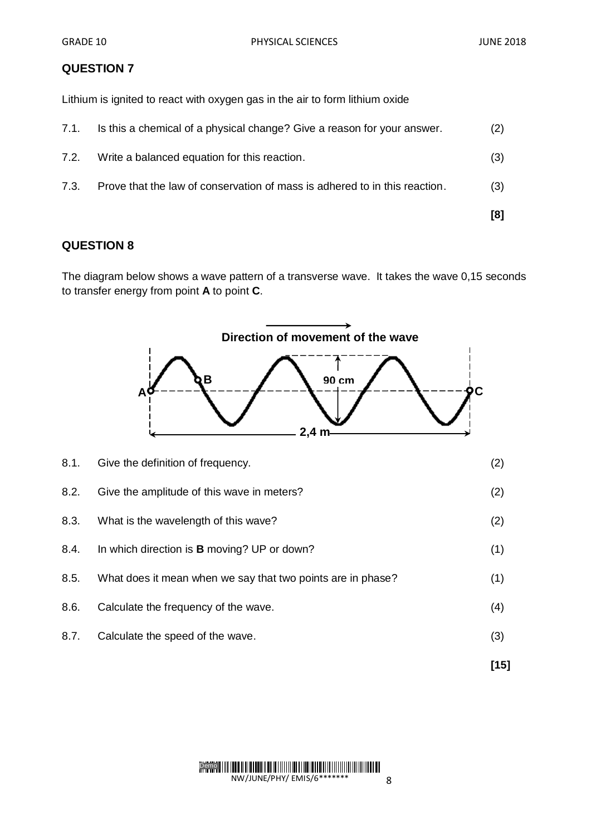Lithium is ignited to react with oxygen gas in the air to form lithium oxide

|      |                                                                            | [8] |
|------|----------------------------------------------------------------------------|-----|
| 7.3. | Prove that the law of conservation of mass is adhered to in this reaction. | (3) |
| 7.2. | Write a balanced equation for this reaction.                               | (3) |
| 7.1. | Is this a chemical of a physical change? Give a reason for your answer.    | (2) |

## **QUESTION 8**

The diagram below shows a wave pattern of a transverse wave. It takes the wave 0,15 seconds to transfer energy from point **A** to point **C**.

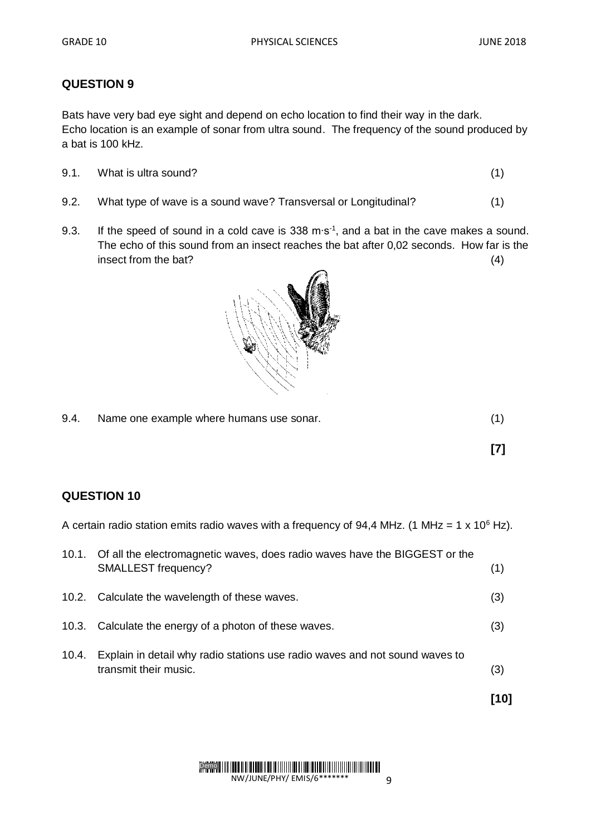Bats have very bad eye sight and depend on echo location to find their way in the dark. Echo location is an example of sonar from ultra sound. The frequency of the sound produced by a bat is 100 kHz.

| 9.1. | What is ultra sound? |  |
|------|----------------------|--|
|      |                      |  |

- 9.2. What type of wave is a sound wave? Transversal or Longitudinal? (1)
- 9.3. If the speed of sound in a cold cave is 338 m⋅s<sup>-1</sup>, and a bat in the cave makes a sound. The echo of this sound from an insect reaches the bat after 0,02 seconds. How far is the insect from the bat? (4)



| 9.4. | Name one example where humans use sonar. |  |
|------|------------------------------------------|--|
|------|------------------------------------------|--|

**[7]**

### **QUESTION 10**

A certain radio station emits radio waves with a frequency of 94,4 MHz. (1 MHz = 1 x 10<sup>6</sup> Hz).

|       | 10.1. Of all the electromagnetic waves, does radio waves have the BIGGEST or the<br>SMALLEST frequency? | (1) |
|-------|---------------------------------------------------------------------------------------------------------|-----|
|       | 10.2. Calculate the wavelength of these waves.                                                          | (3) |
|       | 10.3. Calculate the energy of a photon of these waves.                                                  | (3) |
| 10.4. | Explain in detail why radio stations use radio waves and not sound waves to<br>transmit their music.    | (3) |
|       |                                                                                                         | 101 |

Demo NW/JUNE/PHY/ EMIS/6\*\*\*\*\*\*\* 9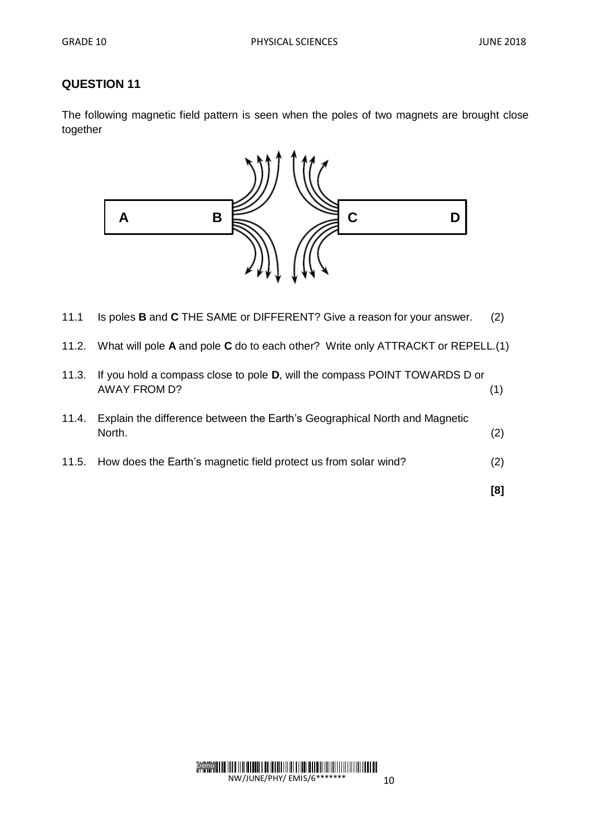The following magnetic field pattern is seen when the poles of two magnets are brought close together



- 11.1 Is poles **B** and **C** THE SAME or DIFFERENT? Give a reason for your answer. (2)
- 11.2. What will pole **A** and pole **C** do to each other? Write only ATTRACKT or REPELL.(1)

| 11.3. | If you hold a compass close to pole <b>D</b> , will the compass POINT TOWARDS D or<br><b>AWAY FROM D?</b> |     |
|-------|-----------------------------------------------------------------------------------------------------------|-----|
| 11.4. | Explain the difference between the Earth's Geographical North and Magnetic<br>North.                      | (2) |
|       | 11.5. How does the Earth's magnetic field protect us from solar wind?                                     | (2) |
|       |                                                                                                           | [8] |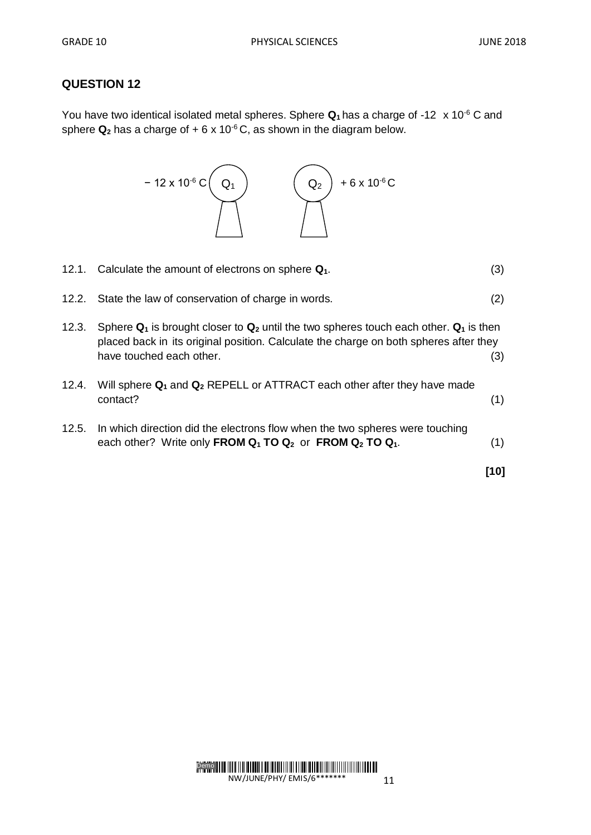You have two identical isolated metal spheres. Sphere **Q1** has a charge of -12x 10-6 C and sphere  $Q_2$  has a charge of  $+ 6 \times 10^{-6}$ C, as shown in the diagram below.

− 12 x 10<sup>-6</sup> C( Q<sub>1</sub> ) ( Q<sub>2</sub> ) +6 x 10<sup>-6</sup> C

|       | 12.1. Calculate the amount of electrons on sphere $Q_1$ .                                                                                                                                                                                     | (3) |
|-------|-----------------------------------------------------------------------------------------------------------------------------------------------------------------------------------------------------------------------------------------------|-----|
|       | 12.2. State the law of conservation of charge in words.                                                                                                                                                                                       | (2) |
| 12.3. | Sphere $\mathbf{Q}_1$ is brought closer to $\mathbf{Q}_2$ until the two spheres touch each other. $\mathbf{Q}_1$ is then<br>placed back in its original position. Calculate the charge on both spheres after they<br>have touched each other. | (3) |
| 12.4. | Will sphere $Q_1$ and $Q_2$ REPELL or ATTRACT each other after they have made<br>contact?                                                                                                                                                     | (1) |
| 12.5. | In which direction did the electrons flow when the two spheres were touching<br>each other? Write only FROM $Q_1$ TO $Q_2$ or FROM $Q_2$ TO $Q_1$ .                                                                                           | (1) |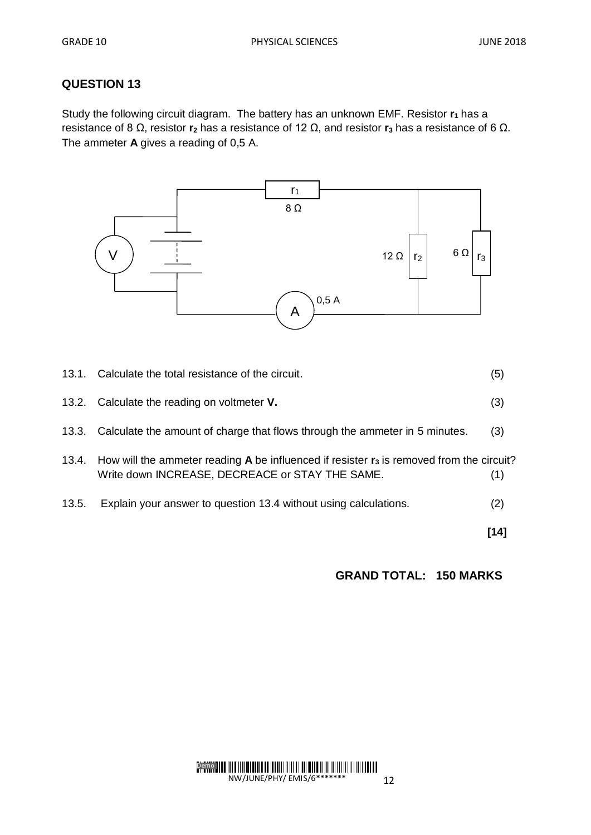Study the following circuit diagram. The battery has an unknown EMF. Resistor **r<sup>1</sup>** has a resistance of 8 Ω, resistor **r<sup>2</sup>** has a resistance of 12 Ω, and resistor **r<sup>3</sup>** has a resistance of 6 Ω. The ammeter **A** gives a reading of 0,5 A.



|       |                                                                                                                                                                      | [14] |
|-------|----------------------------------------------------------------------------------------------------------------------------------------------------------------------|------|
| 13.5. | Explain your answer to question 13.4 without using calculations.                                                                                                     | (2)  |
|       | 13.4. How will the ammeter reading <b>A</b> be influenced if resister $\mathbf{r}_3$ is removed from the circuit?<br>Write down INCREASE, DECREACE or STAY THE SAME. | (1)  |
|       | 13.3. Calculate the amount of charge that flows through the ammeter in 5 minutes.                                                                                    | (3)  |
|       | 13.2. Calculate the reading on voltmeter V.                                                                                                                          | (3)  |
|       | 13.1. Calculate the total resistance of the circuit.                                                                                                                 | (5)  |

 **GRAND TOTAL: 150 MARKS**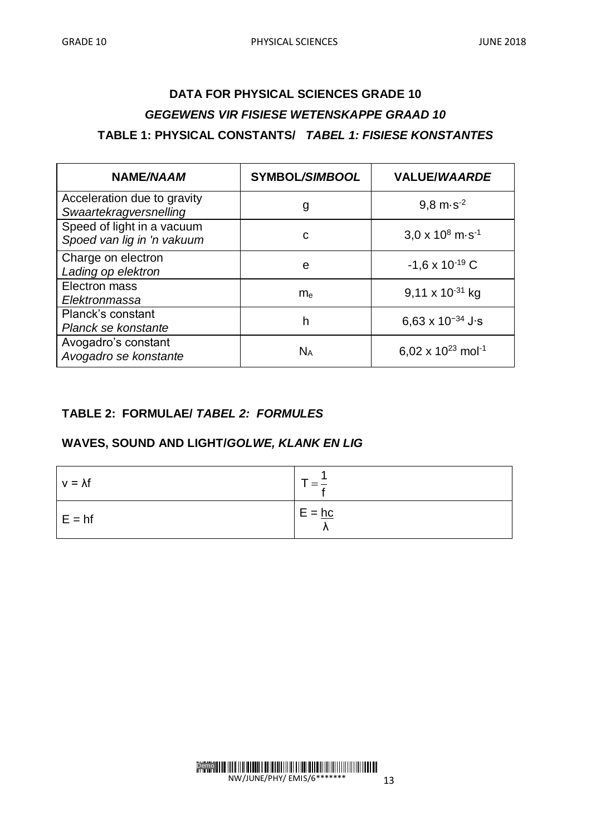# **DATA FOR PHYSICAL SCIENCES GRADE 10** *GEGEWENS VIR FISIESE WETENSKAPPE GRAAD 10* **TABLE 1: PHYSICAL CONSTANTS/** *TABEL 1: FISIESE KONSTANTES*

| <b>NAME/NAAM</b>                                         | <b>SYMBOL/SIMBOOL</b> | <b>VALUE/WAARDE</b>                 |
|----------------------------------------------------------|-----------------------|-------------------------------------|
| Acceleration due to gravity<br>Swaartekragversnelling    | g                     | $9,8 \text{ m} \cdot \text{s}^{-2}$ |
| Speed of light in a vacuum<br>Spoed van lig in 'n vakuum | C                     | $3.0 \times 10^8$ m s <sup>-1</sup> |
| Charge on electron<br>Lading op elektron                 | e                     | $-1,6 \times 10^{-19}$ C            |
| Electron mass<br>Elektronmassa                           | m <sub>e</sub>        | $9,11 \times 10^{-31}$ kg           |
| <b>Planck's constant</b><br>Planck se konstante          | h                     | 6,63 x $10^{-34}$ J s               |
| Avogadro's constant<br>Avogadro se konstante             | $N_A$                 | 6,02 x $10^{23}$ mol <sup>-1</sup>  |

#### **TABLE 2: FORMULAE/** *TABEL 2: FORMULES*

## **WAVES, SOUND AND LIGHT/***GOLWE, KLANK EN LIG*

| $v = \lambda f$ |          |
|-----------------|----------|
| $E = hf$        | $E = hc$ |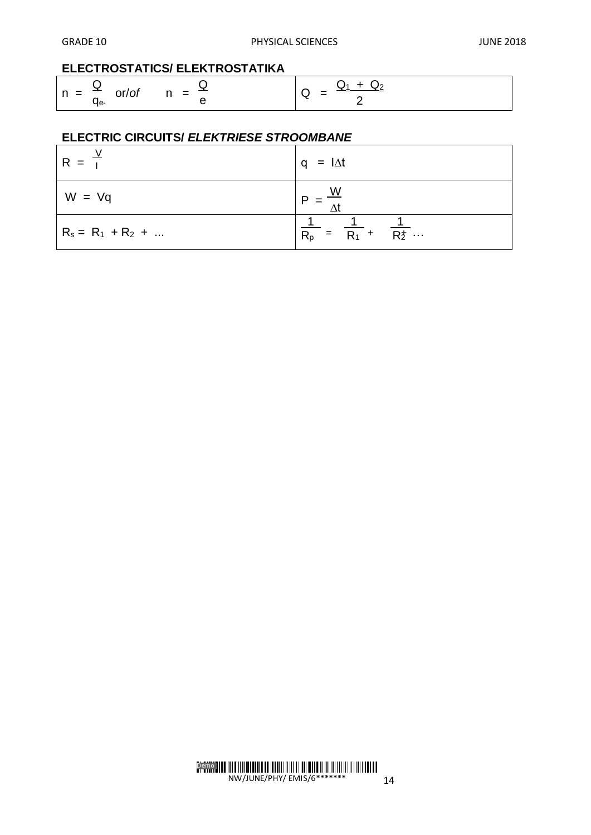### **ELECTROSTATICS/ ELEKTROSTATIKA**

| $n = \frac{Q}{r}$ or/of | and the state of the state of the | $\sim$ $-$ |  |
|-------------------------|-----------------------------------|------------|--|
|                         | $\cdot$ $\cdot$                   |            |  |

## **ELECTRIC CIRCUITS/** *ELEKTRIESE STROOMBANE*

| $R = T$              | $q = I \Delta t$                                 |  |  |  |  |  |  |  |  |
|----------------------|--------------------------------------------------|--|--|--|--|--|--|--|--|
| $W = Vq$             | <u>W</u>                                         |  |  |  |  |  |  |  |  |
| $R_s = R_1 + R_2 + $ | $\frac{1}{R_p} = \frac{1}{R_1} + \frac{1}{R_2} $ |  |  |  |  |  |  |  |  |